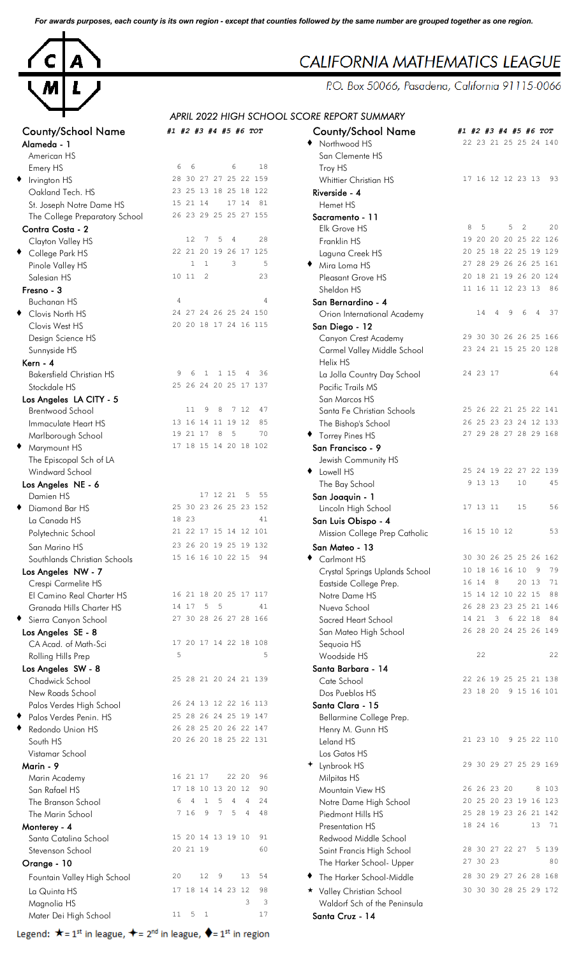*For awards purposes, each county is its own region - except that counties followed by the same number are grouped together as one region.*



| County/School Name              | #1 #2 #3 #4 #5 #6 TOT                                                 | County/School Name             | #1 #2 #3 #4 #5 #6 TOT                     |
|---------------------------------|-----------------------------------------------------------------------|--------------------------------|-------------------------------------------|
| Alameda - 1                     |                                                                       | ◆ Northwood HS                 | 22 23 21 25 25 24 140                     |
| American HS                     | 6<br>6<br>18<br>6                                                     | San Clemente HS                |                                           |
| Emery HS                        | 28 30 27 27 25 22 159                                                 | Troy HS                        |                                           |
| $\bullet$ Irvington HS          |                                                                       | Whittier Christian HS          | 17 16 12 12 23 13 93                      |
| Oakland Tech. HS                | 23 25 13 18 25 18 122                                                 | Riverside - 4                  |                                           |
| St. Joseph Notre Dame HS        | 15 21 14<br>81<br>17 14                                               | Hemet HS                       |                                           |
| The College Preparatory School  | 26 23 29 25 25 27 155                                                 | Sacramento - 11                |                                           |
| Contra Costa - 2                |                                                                       | Elk Grove HS                   | 5<br>5<br>20<br>8<br>$\overline{2}$       |
| Clayton Valley HS               | 28<br>12<br>7<br>5<br>$\overline{4}$                                  | Franklin HS                    | 19 20 20 20 25 22 126                     |
| ◆ College Park HS               | 22 21 20 19 26 17 125                                                 | Laguna Creek HS                | 20 25 18 22 25 19 129                     |
| Pinole Valley HS                | 5<br>$\overline{1}$<br>3<br>$\mathbf{1}$                              | Mira Loma HS                   | 27 28 29 26 26 25 161                     |
| Salesian HS                     | 10 11 2<br>23                                                         | Pleasant Grove HS              | 20 18 21 19 26 20 124                     |
| Fresno - 3                      |                                                                       | Sheldon HS                     | 11 16 11 12 23 13 86                      |
| <b>Buchanan HS</b>              | $\overline{4}$<br>4                                                   | San Bernardino - 4             |                                           |
| ♦ Clovis North HS               | 24 27 24 26 25 24 150                                                 | Orion International Academy    | 37<br>14<br>$\overline{4}$<br>9<br>6<br>4 |
| Clovis West HS                  | 20 20 18 17 24 16 115                                                 | San Diego - 12                 |                                           |
| Design Science HS               |                                                                       | Canyon Crest Academy           | 29 30 30 26 26 25 166                     |
| Sunnyside HS                    |                                                                       | Carmel Valley Middle School    | 23 24 21 15 25 20 128                     |
| Kern - 4                        |                                                                       | Helix HS                       |                                           |
| <b>Bakersfield Christian HS</b> | 1 1 1 5<br>36<br>$\overline{4}$<br>9<br>6                             | La Jolla Country Day School    | 24 23 17<br>64                            |
| Stockdale HS                    | 25 26 24 20 25 17 137                                                 | Pacific Trails MS              |                                           |
|                                 |                                                                       |                                |                                           |
| Los Angeles LA CITY - 5         | 11<br>9<br>8<br>7 12<br>47                                            | San Marcos HS                  | 25 26 22 21 25 22 141                     |
| <b>Brentwood School</b>         |                                                                       | Santa Fe Christian Schools     |                                           |
| Immaculate Heart HS             | 85<br>13 16 14 11 19 12                                               | The Bishop's School            | 26 25 23 23 24 12 133                     |
| Marlborough School              | 19 21 17 8<br>- 5<br>70                                               | ◆ Torrey Pines HS              | 27 29 28 27 28 29 168                     |
| ♦ Marymount HS                  | 17 18 15 14 20 18 102                                                 | San Francisco - 9              |                                           |
| The Episcopal Sch of LA         |                                                                       | Jewish Community HS            |                                           |
| Windward School                 |                                                                       | • Lowell HS                    | 25 24 19 22 27 22 139                     |
| Los Angeles NE - 6              |                                                                       | The Bay School                 | 9 13 13<br>10<br>45                       |
| Damien HS                       | 17 12 21 5<br>55                                                      | San Joaquin - 1                |                                           |
| Diamond Bar HS                  | 25 30 23 26 25 23 152                                                 | Lincoln High School            | 17 13 11<br>15<br>56                      |
| La Canada HS                    | 18 23<br>41                                                           | San Luis Obispo - 4            |                                           |
| Polytechnic School              | 21 22 17 15 14 12 101                                                 | Mission College Prep Catholic  | 16 15 10 12<br>53                         |
| San Marino HS                   | 23 26 20 19 25 19 132                                                 | San Mateo - 13                 |                                           |
| Southlands Christian Schools    | 15 16 16 10 22 15                                                     | Carlmont HS                    | 30 30 26 25 25 26 162                     |
| Los Angeles NW - 7              |                                                                       | Crystal Springs Uplands School | 10 18 16 16 10<br>9<br>79                 |
| Crespi Carmelite HS             |                                                                       | Eastside College Prep.         | 16 14 8<br>20 13<br>71                    |
| El Camino Real Charter HS       | 16 21 18 20 25 17 117                                                 | Notre Dame HS                  | 15 14 12 10 22 15<br>88                   |
| Granada Hills Charter HS        | 14 17 5 5<br>41                                                       | Nueva School                   | 26 28 23 23 25 21 146                     |
|                                 | 27 30 28 26 27 28 166                                                 |                                | 14 21 3 6 22 18 84                        |
| Sierra Canyon School            |                                                                       | Sacred Heart School            | 26 28 20 24 25 26 149                     |
| Los Angeles SE - 8              |                                                                       | San Mateo High School          |                                           |
| CA Acad. of Math-Sci            | 17 20 17 14 22 18 108                                                 | Sequoia HS                     |                                           |
| Rolling Hills Prep              | 5<br>5                                                                | Woodside HS                    | 22<br>22                                  |
| Los Angeles SW - 8              |                                                                       | Santa Barbara - 14             |                                           |
| Chadwick School                 | 25 28 21 20 24 21 139                                                 | Cate School                    | 22 26 19 25 25 21 138                     |
| New Roads School                |                                                                       | Dos Pueblos HS                 | 23 18 20 9 15 16 101                      |
| Palos Verdes High School        | 26 24 13 12 22 16 113                                                 | Santa Clara - 15               |                                           |
| Palos Verdes Penin. HS          | 25 28 26 24 25 19 147                                                 | Bellarmine College Prep.       |                                           |
| Redondo Union HS                | 26 28 25 20 26 22 147                                                 | Henry M. Gunn HS               |                                           |
| South HS                        | 20 26 20 18 25 22 131                                                 | Leland HS                      | 21 23 10<br>9 25 22 110                   |
| Vistamar School                 |                                                                       | Los Gatos HS                   |                                           |
| Marin - 9                       |                                                                       | + Lynbrook HS                  | 29 30 29 27 25 29 169                     |
| Marin Academy                   | 16 21 17<br>22 20<br>96                                               | Milpitas HS                    |                                           |
| San Rafael HS                   | 17 18 10 13 20 12<br>90                                               | Mountain View HS               | 8 1 0 3<br>26 26 23 20                    |
| The Branson School              | $\overline{4}$<br>24<br>4<br>$\mathbf{1}$<br>5<br>$\overline{4}$<br>6 | Notre Dame High School         | 20 25 20 23 19 16 123                     |
| The Marin School                | 7 16<br>9 7<br>5<br>$\overline{4}$<br>48                              | Piedmont Hills HS              | 25 28 19 23 26 21 142                     |
| Monterey - 4                    |                                                                       | Presentation HS                | 18 24 16<br>13 71                         |
| Santa Catalina School           | 15 20 14 13 19 10<br>91                                               | Redwood Middle School          |                                           |
|                                 | 20 21 19<br>60                                                        |                                | 5 1 3 9<br>28 30 27 22 27                 |
| Stevenson School                |                                                                       | Saint Francis High School      | 27 30 23<br>80                            |
| Orange - 10                     |                                                                       | The Harker School- Upper       |                                           |
| Fountain Valley High School     | 12<br>13<br>20<br>- 9<br>54                                           | The Harker School-Middle       | 28 30 29 27 26 28 168                     |
| La Quinta HS                    | 17 18 14 14 23 12<br>98                                               | ★ Valley Christian School      | 30 30 30 28 25 29 172                     |
| Magnolia HS                     | 3<br>3                                                                | Waldorf Sch of the Peninsula   |                                           |
| Mater Dei High School           | $11 \quad 5 \quad 1$<br>17                                            | Santa Cruz - 14                |                                           |
|                                 |                                                                       |                                |                                           |

Legend:  $\star$  = 1<sup>st</sup> in league,  $\star$  = 2<sup>nd</sup> in league,  $\bullet$  = 1<sup>st</sup> in region

## **CALIFORNIA MATHEMATICS LEAGUE**

P.O. Box 50066, Pasadena, California 91115-0066

*APRIL 2022 HIGH SCHOOL SCORE REPORT SUMMARY*

|                                   |                                                                         | APRIL 2022 HIGH SCHOOL SCORE REPORT SUMMARY    |                                                |
|-----------------------------------|-------------------------------------------------------------------------|------------------------------------------------|------------------------------------------------|
| County/School Name<br>Alameda - 1 | #1 #2 #3 #4 #5 #6 TOT                                                   | <b>County/School Name</b><br>Northwood HS<br>٠ | #1 #2 #3 #4 #5 #6 TOT<br>22 23 21 25 25 24 140 |
| American HS                       |                                                                         | San Clemente HS                                |                                                |
| Emery HS                          | 6<br>18<br>6<br>6                                                       | Troy HS                                        |                                                |
| Irvington HS                      | 28 30 27 27 25 22 159                                                   | Whittier Christian HS                          | 17 16 12 12 23 13<br>- 93                      |
| Oakland Tech. HS                  | 23 25 13 18 25 18 122                                                   | Riverside - 4                                  |                                                |
| St. Joseph Notre Dame HS          | 15 21 14<br>17 14<br>81                                                 | Hemet HS                                       |                                                |
| The College Preparatory School    | 26 23 29 25 25 27 155                                                   | Sacramento - 11                                |                                                |
| Contra Costa - 2                  |                                                                         | Elk Grove HS                                   | 8<br>5<br>$\overline{2}$<br>5<br>20            |
| Clayton Valley HS                 | 12<br>$7^{\circ}$<br>5<br>28<br>$\overline{4}$                          | Franklin HS                                    | 19 20 20 20 25 22 126                          |
| College Park HS                   | 22 21 20 19 26 17 125                                                   | Laguna Creek HS                                | 20 25 18 22 25 19 129                          |
| Pinole Valley HS                  | $\mathbf{1}$<br>3<br>5<br>$\mathbf{1}$                                  | Mira Loma HS                                   | 27 28 29 26 26 25 161                          |
| Salesian HS                       | 2<br>23<br>10 11                                                        | Pleasant Grove HS                              | 20 18 21 19 26 20 124                          |
| Fresno - 3                        |                                                                         | Sheldon HS                                     | 11 16 11 12 23 13<br>86                        |
| <b>Buchanan HS</b>                | $\overline{4}$<br>4                                                     | San Bernardino - 4                             |                                                |
| Clovis North HS                   | 24 27 24 26 25 24 150                                                   | Orion International Academy                    | 14<br>4<br>9<br>4<br>-37<br>6                  |
| Clovis West HS                    | 20 20 18 17 24 16 115                                                   | San Diego - 12                                 |                                                |
| Design Science HS                 |                                                                         | Canyon Crest Academy                           | 29 30 30 26 26 25 166                          |
| Sunnyside HS                      |                                                                         | Carmel Valley Middle School                    | 23 24 21 15 25 20 128                          |
| Kern - 4                          |                                                                         | Helix HS                                       |                                                |
| <b>Bakersfield Christian HS</b>   | 1 1 1 5<br>36<br>9<br>6<br>- 4                                          | La Jolla Country Day School                    | 24 23 17<br>64                                 |
| Stockdale HS                      | 25 26 24 20 25 17 137                                                   | Pacific Trails MS                              |                                                |
| Los Angeles LA CITY - 5           |                                                                         | San Marcos HS                                  |                                                |
| Brentwood School                  | 11<br>9<br>8<br>7 12<br>47                                              | Santa Fe Christian Schools                     | 25 26 22 21 25 22 141                          |
| Immaculate Heart HS               | 13 16 14 11 19 12<br>85                                                 | The Bishop's School                            | 26 25 23 23 24 12 133                          |
| Marlborough School                | 19 21 17<br>8<br>-5<br>70                                               | Torrey Pines HS                                | 27 29 28 27 28 29 168                          |
| Marymount HS                      | 17 18 15 14 20 18 102                                                   | San Francisco - 9                              |                                                |
| The Episcopal Sch of LA           |                                                                         | Jewish Community HS                            |                                                |
| Windward School                   |                                                                         | Lowell HS<br>٠                                 | 25 24 19 22 27 22 139                          |
| Los Angeles NE - 6                |                                                                         | The Bay School                                 | 9 13 13<br>10<br>45                            |
| Damien HS                         | 17 12 21 5<br>55                                                        | San Joaquin - 1                                |                                                |
| Diamond Bar HS                    | 25 30 23 26 25 23 152                                                   | Lincoln High School                            | 56<br>17 13 11<br>15                           |
| La Canada HS                      | 18 23<br>41                                                             | San Luis Obispo - 4                            |                                                |
| Polytechnic School                | 21 22 17 15 14 12 101                                                   | Mission College Prep Catholic                  | 53<br>16 15 10 12                              |
|                                   | 23 26 20 19 25 19 132                                                   |                                                |                                                |
| San Marino HS                     | 15 16 16 10 22 15<br>94                                                 | San Mateo - 13                                 | 30 30 26 25 25 26 162                          |
| Southlands Christian Schools      |                                                                         | Carlmont HS                                    | 10 18 16 16 10<br>9<br>79                      |
| Los Angeles NW - 7                |                                                                         | Crystal Springs Uplands School                 | 16 14<br>8<br>20 13<br>71                      |
| Crespi Carmelite HS               | 16 21 18 20 25 17 117                                                   | Eastside College Prep.                         | 15 14 12 10 22 15<br>88                        |
| El Camino Real Charter HS         | 14 17<br>5<br>$-5$<br>41                                                | Notre Dame HS                                  | 26 28 23 23 25 21 146                          |
| Granada Hills Charter HS          |                                                                         | Nueva School                                   | 14 21 3 6 22 18<br>84                          |
| Sierra Canyon School              | 27 30 28 26 27 28 166                                                   | Sacred Heart School                            | 26 28 20 24 25 26 149                          |
| Los Angeles SE - 8                |                                                                         | San Mateo High School                          |                                                |
| CA Acad. of Math-Sci              | 17 20 17 14 22 18 108                                                   | Sequoia HS                                     | 22                                             |
| Rolling Hills Prep                | 5<br>5                                                                  | Woodside HS                                    | 22                                             |
| Los Angeles SW - 8                |                                                                         | Santa Barbara - 14                             |                                                |
| Chadwick School                   | 25 28 21 20 24 21 139                                                   | Cate School                                    | 22 26 19 25 25 21 138                          |
| New Roads School                  |                                                                         | Dos Pueblos HS                                 | 23 18 20 9 15 16 101                           |
| Palos Verdes High School          | 26 24 13 12 22 16 113                                                   | Santa Clara - 15                               |                                                |
| Palos Verdes Penin. HS            | 25 28 26 24 25 19 147                                                   | Bellarmine College Prep.                       |                                                |
| Redondo Union HS                  | 26 28 25 20 26 22 147                                                   | Henry M. Gunn HS                               |                                                |
| South HS                          | 20 26 20 18 25 22 131                                                   | Leland HS                                      | 21 23 10 9 25 22 110                           |
| Vistamar School                   |                                                                         | Los Gatos HS                                   |                                                |
| Marin - 9                         |                                                                         | Lynbrook HS                                    | 29 30 29 27 25 29 169                          |
| Marin Academy                     | 16 21 17<br>22 20<br>96                                                 | Milpitas HS                                    |                                                |
| San Rafael HS                     | 17 18 10 13 20 12<br>90                                                 | Mountain View HS                               | 26 26 23 20<br>8 103                           |
| The Branson School                | 1<br>5<br>$\overline{4}$<br>$\overline{4}$<br>24<br>6<br>$\overline{4}$ | Notre Dame High School                         | 20 25 20 23 19 16 123                          |
| The Marin School                  | 7 16<br>9 7<br>5<br>$\overline{4}$<br>48                                | Piedmont Hills HS                              | 25 28 19 23 26 21 142                          |
| Monterey - 4                      |                                                                         | Presentation HS                                | 18 24 16<br>13 71                              |
| Santa Catalina School             | 15 20 14 13 19 10<br>91                                                 | Redwood Middle School                          |                                                |
| Stevenson School                  | 20 21 19<br>60                                                          | Saint Francis High School                      | 28 30 27 22 27<br>5 1 3 9                      |
| Orange - 10                       |                                                                         | The Harker School- Upper                       | 27 30 23<br>80                                 |
| Fountain Valley High School       | 20<br>$12 \overline{ }$<br>9<br>13<br>54                                | The Harker School-Middle<br>٠                  | 28 30 29 27 26 28 168                          |
|                                   | 17 18 14 14 23 12<br>98                                                 |                                                | 30 30 30 28 25 29 172                          |
| La Quinta HS                      | 3<br>3                                                                  | * Valley Christian School                      |                                                |
| Magnolia HS                       | $11 \quad 5 \quad 1$<br>17                                              | Waldorf Sch of the Peninsula                   |                                                |
| Mater Dei High School             |                                                                         | Santa Cruz - 14                                |                                                |